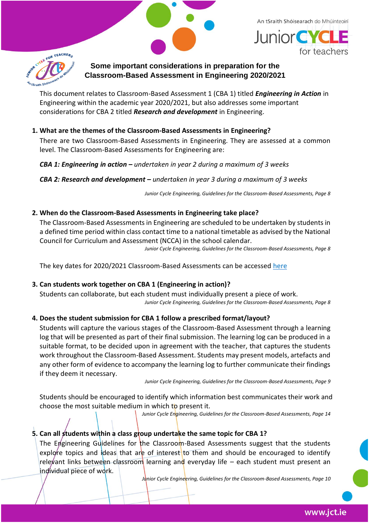An tSraith Shóisearach do Mhúinteoirí





## **Some important considerations in preparation for the Classroom-Based Assessment in Engineering 2020/2021**

This document relates to Classroom-Based Assessment 1 (CBA 1) titled *Engineering in Action* in Engineering within the academic year 2020/2021, but also addresses some important considerations for CBA 2 titled *Research and development* in Engineering.

**1. What are the themes of the Classroom-Based Assessments in Engineering?** 

There are two Classroom-Based Assessments in Engineering. They are assessed at a common level. The Classroom-Based Assessments for Engineering are:

*CBA 1: Engineering in action – undertaken in year 2 during a maximum of 3 weeks*

*CBA 2: Research and development – undertaken in year 3 during a maximum of 3 weeks* 

*Junior Cycle Engineering, Guidelines for the Classroom-Based Assessments, Page 8*

## **2. When do the Classroom-Based Assessments in Engineering take place?**

The Classroom-Based Assessments in Engineering are scheduled to be undertaken by students in a defined time period within class contact time to a national timetable as advised by the National Council for Curriculum and Assessment (NCCA) in the school calendar.

*Junior Cycle Engineering, Guidelines for the Classroom-Based Assessments, Page 8*

The key dates for 2020/2021 Classroom-Based Assessments can be accessed [here](https://ncca.ie/en/resources/revised-arrangements-for-the-completion-of-classroom-based-assessments-for-the-cohort-of-students-2018-2021)

## **3. Can students work together on CBA 1 (Engineering in action)?**

Students can collaborate, but each student must individually present a piece of work. *Junior Cycle Engineering, Guidelines for the Classroom-Based Assessments, Page 8*

## **4. Does the student submission for CBA 1 follow a prescribed format/layout?**

Students will capture the various stages of the Classroom-Based Assessment through a learning log that will be presented as part of their final submission. The learning log can be produced in a suitable format, to be decided upon in agreement with the teacher, that captures the students work throughout the Classroom-Based Assessment. Students may present models, artefacts and any other form of evidence to accompany the learning log to further communicate their findings if they deem it necessary.

*Junior Cycle Engineering, Guidelines for the Classroom-Based Assessments, Page 9*

Students should be encouraged to identify which information best communicates their work and choose the most suitable medium in which to present it.

*Junior Cycle Engineering, Guidelines for the Classroom-Based Assessments, Page 14*

# **5. Can all students within a class group undertake the same topic for CBA 1?**

The Engineering Guidelines for the Classroom-Based Assessments suggest that the students explore topics and ideas that are of interest to them and should be encouraged to identify relevant links between classroom learning and everyday life - each student must present an individual piece of work.

*Junior Cycle Engineering, Guidelines for the Classroom-Based Assessments, Page 10*